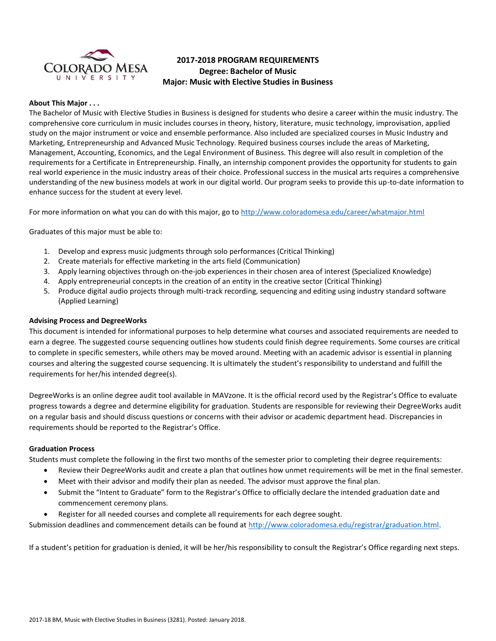

# **2017-2018 PROGRAM REQUIREMENTS Degree: Bachelor of Music Major: Music with Elective Studies in Business**

### **About This Major . . .**

The Bachelor of Music with Elective Studies in Business is designed for students who desire a career within the music industry. The comprehensive core curriculum in music includes courses in theory, history, literature, music technology, improvisation, applied study on the major instrument or voice and ensemble performance. Also included are specialized courses in Music Industry and Marketing, Entrepreneurship and Advanced Music Technology. Required business courses include the areas of Marketing, Management, Accounting, Economics, and the Legal Environment of Business. This degree will also result in completion of the requirements for a Certificate in Entrepreneurship. Finally, an internship component provides the opportunity for students to gain real world experience in the music industry areas of their choice. Professional success in the musical arts requires a comprehensive understanding of the new business models at work in our digital world. Our program seeks to provide this up-to-date information to enhance success for the student at every level.

For more information on what you can do with this major, go to<http://www.coloradomesa.edu/career/whatmajor.html>

Graduates of this major must be able to:

- 1. Develop and express music judgments through solo performances (Critical Thinking)
- 2. Create materials for effective marketing in the arts field (Communication)
- 3. Apply learning objectives through on-the-job experiences in their chosen area of interest (Specialized Knowledge)
- 4. Apply entrepreneurial concepts in the creation of an entity in the creative sector (Critical Thinking)
- 5. Produce digital audio projects through multi-track recording, sequencing and editing using industry standard software (Applied Learning)

#### **Advising Process and DegreeWorks**

This document is intended for informational purposes to help determine what courses and associated requirements are needed to earn a degree. The suggested course sequencing outlines how students could finish degree requirements. Some courses are critical to complete in specific semesters, while others may be moved around. Meeting with an academic advisor is essential in planning courses and altering the suggested course sequencing. It is ultimately the student's responsibility to understand and fulfill the requirements for her/his intended degree(s).

DegreeWorks is an online degree audit tool available in MAVzone. It is the official record used by the Registrar's Office to evaluate progress towards a degree and determine eligibility for graduation. Students are responsible for reviewing their DegreeWorks audit on a regular basis and should discuss questions or concerns with their advisor or academic department head. Discrepancies in requirements should be reported to the Registrar's Office.

#### **Graduation Process**

Students must complete the following in the first two months of the semester prior to completing their degree requirements:

- Review their DegreeWorks audit and create a plan that outlines how unmet requirements will be met in the final semester.
- Meet with their advisor and modify their plan as needed. The advisor must approve the final plan.
- Submit the "Intent to Graduate" form to the Registrar's Office to officially declare the intended graduation date and commencement ceremony plans.
- Register for all needed courses and complete all requirements for each degree sought.

Submission deadlines and commencement details can be found at [http://www.coloradomesa.edu/registrar/graduation.html.](http://www.coloradomesa.edu/registrar/graduation.html)

If a student's petition for graduation is denied, it will be her/his responsibility to consult the Registrar's Office regarding next steps.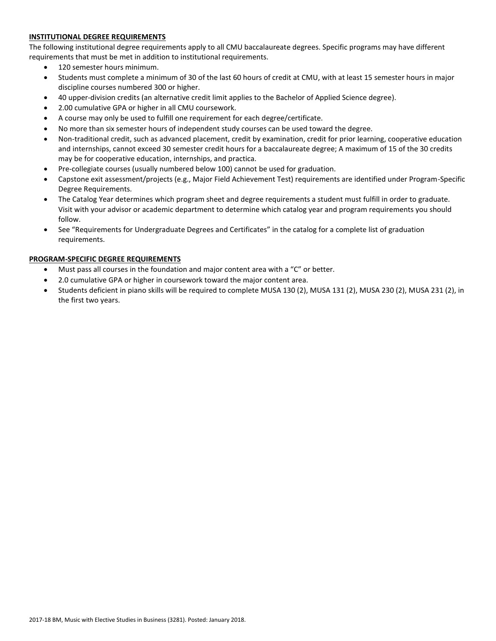# **INSTITUTIONAL DEGREE REQUIREMENTS**

The following institutional degree requirements apply to all CMU baccalaureate degrees. Specific programs may have different requirements that must be met in addition to institutional requirements.

- 120 semester hours minimum.
- Students must complete a minimum of 30 of the last 60 hours of credit at CMU, with at least 15 semester hours in major discipline courses numbered 300 or higher.
- 40 upper-division credits (an alternative credit limit applies to the Bachelor of Applied Science degree).
- 2.00 cumulative GPA or higher in all CMU coursework.
- A course may only be used to fulfill one requirement for each degree/certificate.
- No more than six semester hours of independent study courses can be used toward the degree.
- Non-traditional credit, such as advanced placement, credit by examination, credit for prior learning, cooperative education and internships, cannot exceed 30 semester credit hours for a baccalaureate degree; A maximum of 15 of the 30 credits may be for cooperative education, internships, and practica.
- Pre-collegiate courses (usually numbered below 100) cannot be used for graduation.
- Capstone exit assessment/projects (e.g., Major Field Achievement Test) requirements are identified under Program-Specific Degree Requirements.
- The Catalog Year determines which program sheet and degree requirements a student must fulfill in order to graduate. Visit with your advisor or academic department to determine which catalog year and program requirements you should follow.
- See "Requirements for Undergraduate Degrees and Certificates" in the catalog for a complete list of graduation requirements.

# **PROGRAM-SPECIFIC DEGREE REQUIREMENTS**

- Must pass all courses in the foundation and major content area with a "C" or better.
- 2.0 cumulative GPA or higher in coursework toward the major content area.
- Students deficient in piano skills will be required to complete MUSA 130 (2), MUSA 131 (2), MUSA 230 (2), MUSA 231 (2), in the first two years.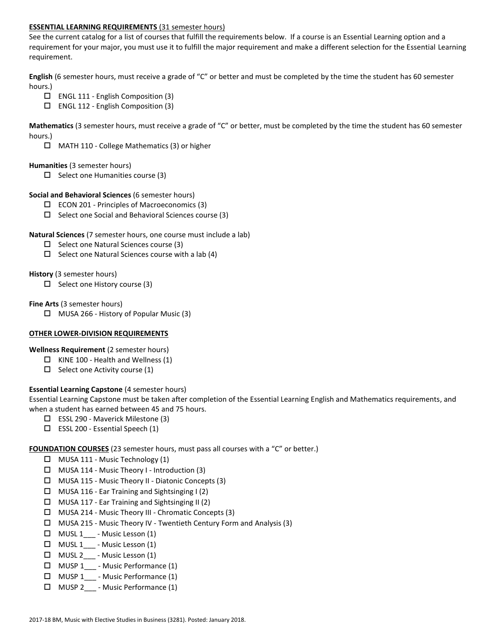### **ESSENTIAL LEARNING REQUIREMENTS** (31 semester hours)

See the current catalog for a list of courses that fulfill the requirements below. If a course is an Essential Learning option and a requirement for your major, you must use it to fulfill the major requirement and make a different selection for the Essential Learning requirement.

**English** (6 semester hours, must receive a grade of "C" or better and must be completed by the time the student has 60 semester hours.)

- $\Box$  ENGL 111 English Composition (3)
- $\Box$  ENGL 112 English Composition (3)

**Mathematics** (3 semester hours, must receive a grade of "C" or better, must be completed by the time the student has 60 semester hours.)

MATH 110 - College Mathematics (3) or higher

### **Humanities** (3 semester hours)

 $\Box$  Select one Humanities course (3)

### **Social and Behavioral Sciences** (6 semester hours)

- $\Box$  ECON 201 Principles of Macroeconomics (3)
- $\Box$  Select one Social and Behavioral Sciences course (3)

### **Natural Sciences** (7 semester hours, one course must include a lab)

- $\square$  Select one Natural Sciences course (3)
- $\Box$  Select one Natural Sciences course with a lab (4)

### **History** (3 semester hours)

 $\Box$  Select one History course (3)

### **Fine Arts** (3 semester hours)

 $\Box$  MUSA 266 - History of Popular Music (3)

# **OTHER LOWER-DIVISION REQUIREMENTS**

**Wellness Requirement** (2 semester hours)

- $\Box$  KINE 100 Health and Wellness (1)
- $\square$  Select one Activity course (1)

# **Essential Learning Capstone** (4 semester hours)

Essential Learning Capstone must be taken after completion of the Essential Learning English and Mathematics requirements, and when a student has earned between 45 and 75 hours.

- ESSL 290 Maverick Milestone (3)
- $\square$  ESSL 200 Essential Speech (1)

# **FOUNDATION COURSES** (23 semester hours, must pass all courses with a "C" or better.)

- $\Box$  MUSA 111 Music Technology (1)
- $\Box$  MUSA 114 Music Theory I Introduction (3)
- MUSA 115 Music Theory II Diatonic Concepts (3)
- $\Box$  MUSA 116 Ear Training and Sightsinging I (2)
- $\Box$  MUSA 117 Ear Training and Sightsinging II (2)
- MUSA 214 Music Theory III Chromatic Concepts (3)
- MUSA 215 Music Theory IV Twentieth Century Form and Analysis (3)
- $\Box$  MUSL 1<sub>\_\_\_</sub> Music Lesson (1)
- $\Box$  MUSL 1 Music Lesson (1)
- $\Box$  MUSL 2\_\_\_ Music Lesson (1)
- □ MUSP 1 Music Performance (1)
- MUSP 1\_\_\_ Music Performance (1)
- MUSP 2\_\_\_ Music Performance (1)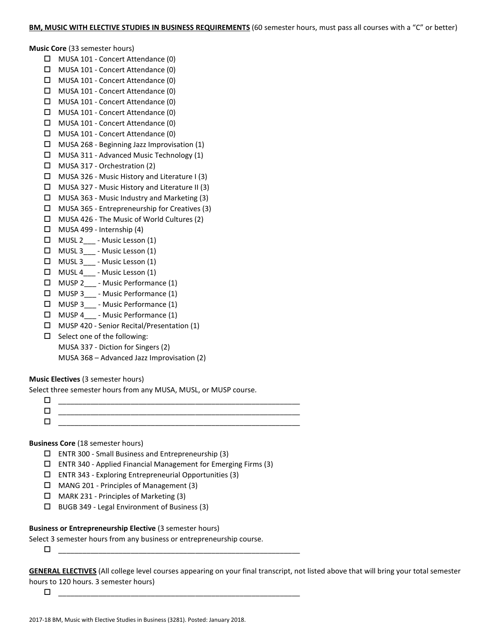#### **Music Core** (33 semester hours)

- MUSA 101 Concert Attendance (0)
- MUSA 101 Concert Attendance (0)
- MUSA 101 Concert Attendance (0)
- □ MUSA 101 Concert Attendance (0)
- MUSA 101 Concert Attendance (0)
- MUSA 101 Concert Attendance (0)
- MUSA 101 Concert Attendance (0)
- MUSA 101 Concert Attendance (0)
- $\Box$  MUSA 268 Beginning Jazz Improvisation (1)
- MUSA 311 Advanced Music Technology (1)
- MUSA 317 Orchestration (2)
- MUSA 326 Music History and Literature I (3)
- MUSA 327 Music History and Literature II (3)
- $\Box$  MUSA 363 Music Industry and Marketing (3)
- MUSA 365 Entrepreneurship for Creatives (3)
- MUSA 426 The Music of World Cultures (2)
- $\Box$  MUSA 499 Internship (4)
- MUSL 2\_\_\_ Music Lesson (1)
- $\Box$  MUSL 3 Music Lesson (1)
- $\Box$  MUSL 3<sub>\_\_\_</sub> Music Lesson (1)
- $\Box$  MUSL 4 Music Lesson (1)
- MUSP 2\_\_\_ Music Performance (1)
- $\Box$  MUSP 3 Music Performance (1)
- $\Box$  MUSP 3 Music Performance (1)
- □ MUSP 4 Music Performance (1)
- MUSP 420 Senior Recital/Presentation (1)
- $\square$  Select one of the following:
	- MUSA 337 Diction for Singers (2)
		- MUSA 368 Advanced Jazz Improvisation (2)

# **Music Electives** (3 semester hours)

Select three semester hours from any MUSA, MUSL, or MUSP course.

 \_\_\_\_\_\_\_\_\_\_\_\_\_\_\_\_\_\_\_\_\_\_\_\_\_\_\_\_\_\_\_\_\_\_\_\_\_\_\_\_\_\_\_\_\_\_\_\_\_\_\_\_\_\_\_\_\_\_\_\_ \_\_\_\_\_\_\_\_\_\_\_\_\_\_\_\_\_\_\_\_\_\_\_\_\_\_\_\_\_\_\_\_\_\_\_\_\_\_\_\_\_\_\_\_\_\_\_\_\_\_\_\_\_\_\_\_\_\_\_\_ \_\_\_\_\_\_\_\_\_\_\_\_\_\_\_\_\_\_\_\_\_\_\_\_\_\_\_\_\_\_\_\_\_\_\_\_\_\_\_\_\_\_\_\_\_\_\_\_\_\_\_\_\_\_\_\_\_\_\_\_

# **Business Core** (18 semester hours)

- ENTR 300 Small Business and Entrepreneurship (3)
- $\square$  ENTR 340 Applied Financial Management for Emerging Firms (3)
- $\square$  ENTR 343 Exploring Entrepreneurial Opportunities (3)
- MANG 201 Principles of Management (3)
- MARK 231 Principles of Marketing (3)
- BUGB 349 Legal Environment of Business (3)

# **Business or Entrepreneurship Elective** (3 semester hours)

Select 3 semester hours from any business or entrepreneurship course.

\_\_\_\_\_\_\_\_\_\_\_\_\_\_\_\_\_\_\_\_\_\_\_\_\_\_\_\_\_\_\_\_\_\_\_\_\_\_\_\_\_\_\_\_\_\_\_\_\_\_\_\_\_\_\_\_\_\_\_\_

**GENERAL ELECTIVES** (All college level courses appearing on your final transcript, not listed above that will bring your total semester hours to 120 hours. 3 semester hours)

 $\Box$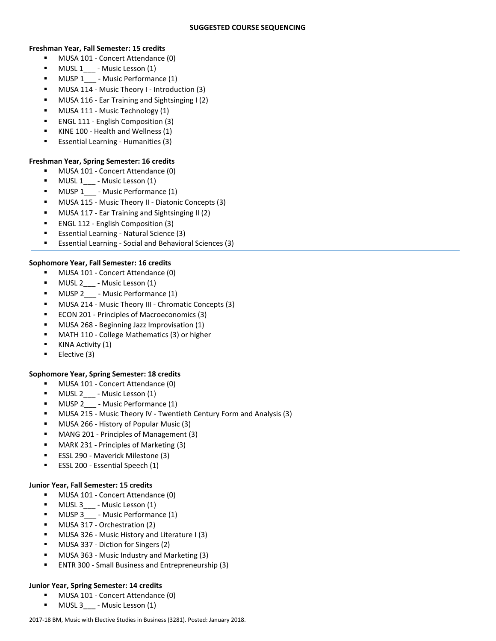### **Freshman Year, Fall Semester: 15 credits**

- **MUSA 101 Concert Attendance (0)**
- MUSL 1\_\_\_ Music Lesson (1)
- **MUSP 1** Music Performance (1)
- MUSA 114 Music Theory I Introduction (3)
- MUSA 116 Ear Training and Sightsinging I (2)
- MUSA 111 Music Technology (1)
- ENGL 111 English Composition (3)
- KINE 100 Health and Wellness (1)
- Essential Learning Humanities (3)

# **Freshman Year, Spring Semester: 16 credits**

- **MUSA 101 Concert Attendance (0)**
- **MUSL 1** Music Lesson (1)
- MUSP 1 Music Performance (1)
- MUSA 115 Music Theory II Diatonic Concepts (3)
- MUSA 117 Ear Training and Sightsinging II (2)
- ENGL 112 English Composition (3)
- Essential Learning Natural Science (3)
- Essential Learning Social and Behavioral Sciences (3)

# **Sophomore Year, Fall Semester: 16 credits**

- MUSA 101 Concert Attendance (0)
- MUSL 2 Music Lesson (1)
- MUSP 2\_\_\_ Music Performance (1)
- MUSA 214 Music Theory III Chromatic Concepts (3)
- ECON 201 Principles of Macroeconomics (3)
- MUSA 268 Beginning Jazz Improvisation (1)
- MATH 110 College Mathematics (3) or higher
- KINA Activity (1)
- Elective (3)

# **Sophomore Year, Spring Semester: 18 credits**

- MUSA 101 Concert Attendance (0)
- MUSL 2\_\_\_ Music Lesson (1)
- MUSP 2 Music Performance (1)
- MUSA 215 Music Theory IV Twentieth Century Form and Analysis (3)
- MUSA 266 History of Popular Music (3)
- MANG 201 Principles of Management (3)
- MARK 231 Principles of Marketing (3)
- ESSL 290 Maverick Milestone (3)
- **ESSL 200 Essential Speech (1)**

# **Junior Year, Fall Semester: 15 credits**

- **MUSA 101 Concert Attendance (0)**
- MUSL 3\_\_\_ Music Lesson (1)
- MUSP 3 Music Performance (1)
- MUSA 317 Orchestration (2)
- MUSA 326 Music History and Literature I (3)
- MUSA 337 Diction for Singers (2)
- MUSA 363 Music Industry and Marketing (3)
- ENTR 300 Small Business and Entrepreneurship (3)

# **Junior Year, Spring Semester: 14 credits**

- **MUSA 101 Concert Attendance (0)**
- **MUSL 3** \_\_\_ Music Lesson (1)

#### 2017-18 BM, Music with Elective Studies in Business (3281). Posted: January 2018.